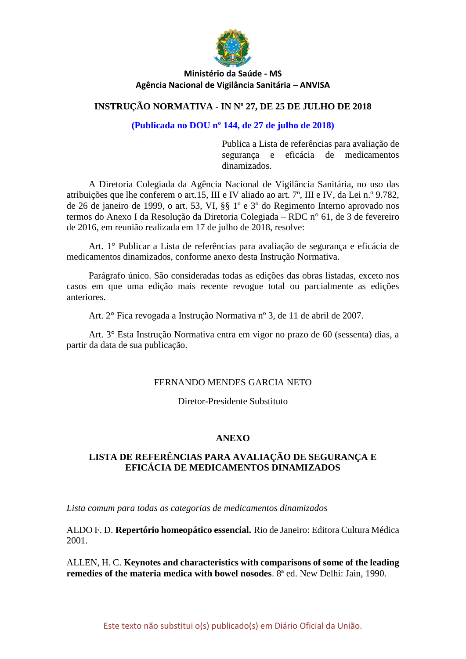

### **INSTRUÇÃO NORMATIVA - IN Nº 27, DE 25 DE JULHO DE 2018**

#### **(Publicada no DOU nº 144, de 27 de julho de 2018)**

Publica a Lista de referências para avaliação de segurança e eficácia de medicamentos dinamizados.

A Diretoria Colegiada da Agência Nacional de Vigilância Sanitária, no uso das atribuições que lhe conferem o art.15, III e IV aliado ao art. 7º, III e IV, da Lei n.º 9.782, de 26 de janeiro de 1999, o art. 53, VI, §§ 1º e 3º do Regimento Interno aprovado nos termos do Anexo I da Resolução da Diretoria Colegiada – RDC n° 61, de 3 de fevereiro de 2016, em reunião realizada em 17 de julho de 2018, resolve:

Art. 1° Publicar a Lista de referências para avaliação de segurança e eficácia de medicamentos dinamizados, conforme anexo desta Instrução Normativa.

Parágrafo único. São consideradas todas as edições das obras listadas, exceto nos casos em que uma edição mais recente revogue total ou parcialmente as edições anteriores.

Art. 2° Fica revogada a Instrução Normativa nº 3, de 11 de abril de 2007.

Art. 3° Esta Instrução Normativa entra em vigor no prazo de 60 (sessenta) dias, a partir da data de sua publicação.

#### FERNANDO MENDES GARCIA NETO

Diretor-Presidente Substituto

#### **ANEXO**

### **LISTA DE REFERÊNCIAS PARA AVALIAÇÃO DE SEGURANÇA E EFICÁCIA DE MEDICAMENTOS DINAMIZADOS**

*Lista comum para todas as categorias de medicamentos dinamizados*

ALDO F. D. **Repertório homeopático essencial.** Rio de Janeiro: Editora Cultura Médica 2001.

ALLEN, H. C. **Keynotes and characteristics with comparisons of some of the leading remedies of the materia medica with bowel nosodes**. 8ª ed. New Delhi: Jain, 1990.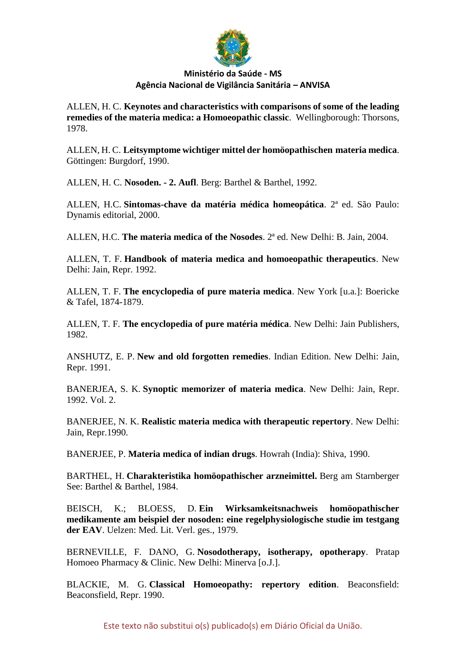

ALLEN, H. C. **Keynotes and characteristics with comparisons of some of the leading remedies of the materia medica: a Homoeopathic classic**. Wellingborough: Thorsons, 1978.

ALLEN, H. C. **Leitsymptome wichtiger mittel der homöopathischen materia medica**. Göttingen: Burgdorf, 1990.

ALLEN, H. C. **Nosoden. - 2. Aufl**. Berg: Barthel & Barthel, 1992.

ALLEN, H.C. **Sintomas-chave da matéria médica homeopática**. 2ª ed. São Paulo: Dynamis editorial, 2000.

ALLEN, H.C. **The materia medica of the Nosodes**. 2ª ed. New Delhi: B. Jain, 2004.

ALLEN, T. F. **Handbook of materia medica and homoeopathic therapeutics**. New Delhi: Jain, Repr. 1992.

ALLEN, T. F. **The encyclopedia of pure materia medica**. New York [u.a.]: Boericke & Tafel, 1874-1879.

ALLEN, T. F. **The encyclopedia of pure matéria médica**. New Delhi: Jain Publishers, 1982.

ANSHUTZ, E. P. **New and old forgotten remedies**. Indian Edition. New Delhi: Jain, Repr. 1991.

BANERJEA, S. K. **Synoptic memorizer of materia medica**. New Delhi: Jain, Repr. 1992. Vol. 2.

BANERJEE, N. K. **Realistic materia medica with therapeutic repertory**. New Delhi: Jain, Repr.1990.

BANERJEE, P. **Materia medica of indian drugs**. Howrah (India): Shiva, 1990.

BARTHEL, H. **Charakteristika homöopathischer arzneimittel.** Berg am Starnberger See: Barthel & Barthel, 1984.

BEISCH, K.; BLOESS, D. **Ein Wirksamkeitsnachweis homöopathischer medikamente am beispiel der nosoden: eine regelphysiologische studie im testgang der EAV**. Uelzen: Med. Lit. Verl. ges., 1979.

BERNEVILLE, F. DANO, G. **Nosodotherapy, isotherapy, opotherapy**. Pratap Homoeo Pharmacy & Clinic. New Delhi: Minerva [o.J.].

BLACKIE, M. G. **Classical Homoeopathy: repertory edition**. Beaconsfield: Beaconsfield, Repr. 1990.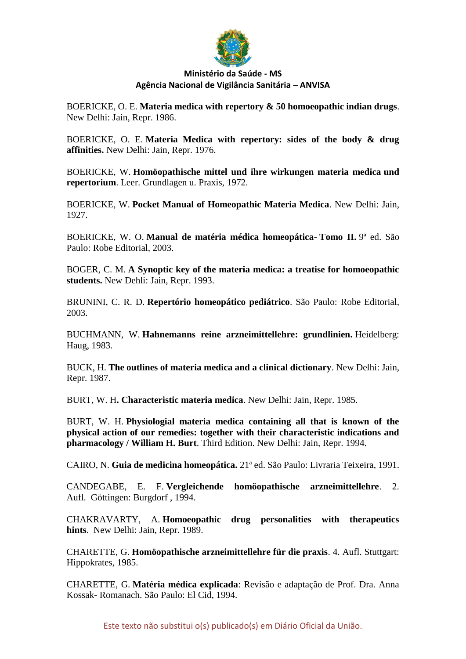

BOERICKE, O. E. **Materia medica with repertory & 50 homoeopathic indian drugs**. New Delhi: Jain, Repr. 1986.

BOERICKE, O. E. **Materia Medica with repertory: sides of the body & drug affinities.** New Delhi: Jain, Repr. 1976.

BOERICKE, W. **Homöopathische mittel und ihre wirkungen materia medica und repertorium**. Leer. Grundlagen u. Praxis, 1972.

BOERICKE, W. **Pocket Manual of Homeopathic Materia Medica**. New Delhi: Jain, 1927.

BOERICKE, W. O. **Manual de matéria médica homeopática**- **Tomo II.** 9ª ed. São Paulo: Robe Editorial, 2003.

BOGER, C. M. **A Synoptic key of the materia medica: a treatise for homoeopathic students.** New Dehli: Jain, Repr. 1993.

BRUNINI, C. R. D. **Repertório homeopático pediátrico**. São Paulo: Robe Editorial, 2003.

BUCHMANN, W. **Hahnemanns reine arzneimittellehre: grundlinien.** Heidelberg: Haug, 1983.

BUCK, H. **The outlines of materia medica and a clinical dictionary**. New Delhi: Jain, Repr. 1987.

BURT, W. H**. Characteristic materia medica**. New Delhi: Jain, Repr. 1985.

BURT, W. H. **Physiologial materia medica containing all that is known of the physical action of our remedies: together with their characteristic indications and pharmacology / William H. Burt**. Third Edition. New Delhi: Jain, Repr. 1994.

CAIRO, N. **Guia de medicina homeopática.** 21ª ed. São Paulo: Livraria Teixeira, 1991.

CANDEGABE, E. F. **Vergleichende homöopathische arzneimittellehre**. 2. Aufl. Göttingen: Burgdorf , 1994.

CHAKRAVARTY, A. **Homoeopathic drug personalities with therapeutics hints**. New Delhi: Jain, Repr. 1989.

CHARETTE, G. **Homöopathische arzneimittellehre für die praxis**. 4. Aufl. Stuttgart: Hippokrates, 1985.

CHARETTE, G. **Matéria médica explicada**: Revisão e adaptação de Prof. Dra. Anna Kossak- Romanach. São Paulo: El Cid, 1994.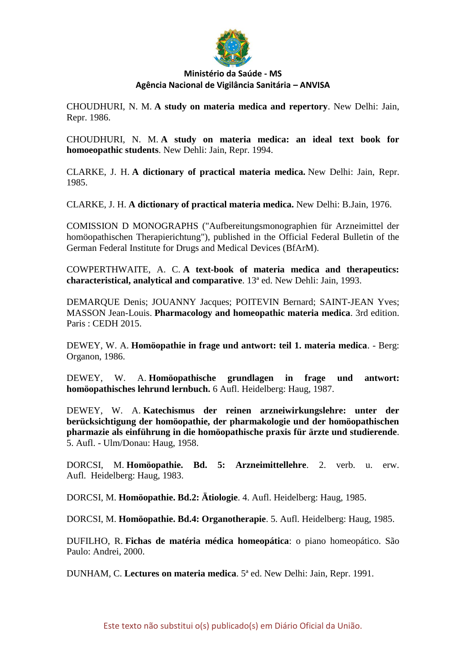

CHOUDHURI, N. M. **A study on materia medica and repertory**. New Delhi: Jain, Repr. 1986.

CHOUDHURI, N. M. **A study on materia medica: an ideal text book for homoeopathic students**. New Dehli: Jain, Repr. 1994.

CLARKE, J. H. **A dictionary of practical materia medica.** New Delhi: Jain, Repr. 1985.

CLARKE, J. H. **A dictionary of practical materia medica.** New Delhi: B.Jain, 1976.

COMISSION D MONOGRAPHS ("Aufbereitungsmonographien für Arzneimittel der homöopathischen Therapierichtung"), published in the Official Federal Bulletin of the German Federal Institute for Drugs and Medical Devices (BfArM).

COWPERTHWAITE, A. C. **A text-book of materia medica and therapeutics: characteristical, analytical and comparative**. 13ª ed. New Dehli: Jain, 1993.

DEMARQUE Denis; JOUANNY Jacques; POITEVIN Bernard; SAINT-JEAN Yves; MASSON Jean-Louis. **Pharmacology and homeopathic materia medica**. 3rd edition. Paris : CEDH 2015.

DEWEY, W. A. **Homöopathie in frage und antwort: teil 1. materia medica**. - Berg: Organon, 1986.

DEWEY, W. A. **Homöopathische grundlagen in frage und antwort: homöopathisches lehrund lernbuch.** 6 Aufl. Heidelberg: Haug, 1987.

DEWEY, W. A. **Katechismus der reinen arzneiwirkungslehre: unter der berücksichtigung der homöopathie, der pharmakologie und der homöopathischen pharmazie als einführung in die homöopathische praxis für ärzte und studierende**. 5. Aufl. - Ulm/Donau: Haug, 1958.

DORCSI, M. **Homöopathie. Bd. 5: Arzneimittellehre**. 2. verb. u. erw. Aufl. Heidelberg: Haug, 1983.

DORCSI, M. **Homöopathie. Bd.2: Ätiologie**. 4. Aufl. Heidelberg: Haug, 1985.

DORCSI, M. **Homöopathie. Bd.4: Organotherapie**. 5. Aufl. Heidelberg: Haug, 1985.

DUFILHO, R. **Fichas de matéria médica homeopática**: o piano homeopático. São Paulo: Andrei, 2000.

DUNHAM, C. **Lectures on materia medica**. 5ª ed. New Delhi: Jain, Repr. 1991.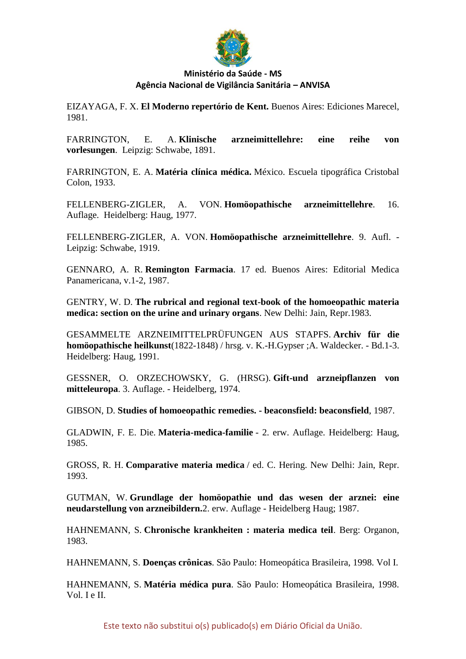

EIZAYAGA, F. X. **El Moderno repertório de Kent.** Buenos Aires: Ediciones Marecel, 1981.

FARRINGTON, E. A. **Klinische arzneimittellehre: eine reihe von vorlesungen**. Leipzig: Schwabe, 1891.

FARRINGTON, E. A. **Matéria clínica médica.** México. Escuela tipográfica Cristobal Colon, 1933.

FELLENBERG-ZIGLER, A. VON. **Homöopathische arzneimittellehre**. 16. Auflage. Heidelberg: Haug, 1977.

FELLENBERG-ZIGLER, A. VON. **Homöopathische arzneimittellehre**. 9. Aufl. - Leipzig: Schwabe, 1919.

GENNARO, A. R. **Remington Farmacia**. 17 ed. Buenos Aires: Editorial Medica Panamericana, v.1-2, 1987.

GENTRY, W. D. **The rubrical and regional text-book of the homoeopathic materia medica: section on the urine and urinary organs**. New Delhi: Jain, Repr.1983.

GESAMMELTE ARZNEIMITTELPRÜFUNGEN AUS STAPFS. **Archiv für die homöopathische heilkunst**(1822-1848) / hrsg. v. K.-H.Gypser ;A. Waldecker. - Bd.1-3. Heidelberg: Haug, 1991.

GESSNER, O. ORZECHOWSKY, G. (HRSG). **Gift-und arzneipflanzen von mitteleuropa**. 3. Auflage. - Heidelberg, 1974.

GIBSON, D. **Studies of homoeopathic remedies. - beaconsfield: beaconsfield**, 1987.

GLADWIN, F. E. Die. **Materia-medica-familie** - 2. erw. Auflage. Heidelberg: Haug, 1985.

GROSS, R. H. **Comparative materia medica** / ed. C. Hering. New Delhi: Jain, Repr. 1993.

GUTMAN, W. **Grundlage der homöopathie und das wesen der arznei: eine neudarstellung von arzneibildern.**2. erw. Auflage - Heidelberg Haug; 1987.

HAHNEMANN, S. **Chronische krankheiten : materia medica teil**. Berg: Organon, 1983.

HAHNEMANN, S. **Doenças crônicas**. São Paulo: Homeopática Brasileira, 1998. Vol I.

HAHNEMANN, S. **Matéria médica pura**. São Paulo: Homeopática Brasileira, 1998. Vol. I e II.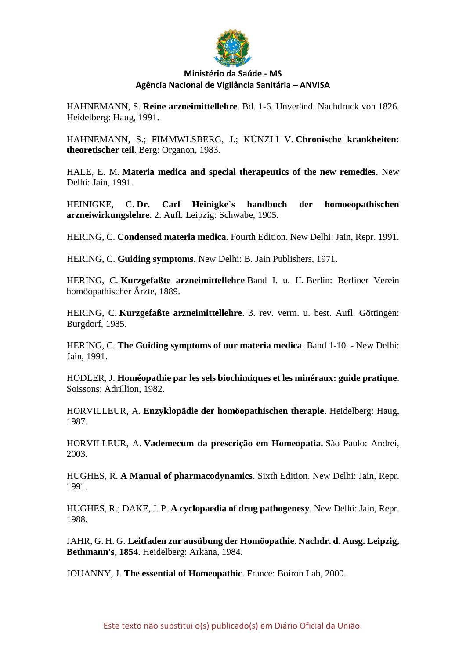

HAHNEMANN, S. **Reine arzneimittellehre**. Bd. 1-6. Unveränd. Nachdruck von 1826. Heidelberg: Haug, 1991.

HAHNEMANN, S.; FIMMWLSBERG, J.; KÜNZLI V. **Chronische krankheiten: theoretischer teil**. Berg: Organon, 1983.

HALE, E. M. **Materia medica and special therapeutics of the new remedies**. New Delhi: Jain, 1991.

HEINIGKE, C. **Dr. Carl Heinigke`s handbuch der homoeopathischen arzneiwirkungslehre**. 2. Aufl. Leipzig: Schwabe, 1905.

HERING, C. **Condensed materia medica**. Fourth Edition. New Delhi: Jain, Repr. 1991.

HERING, C. **Guiding symptoms.** New Delhi: B. Jain Publishers, 1971.

HERING, C. **Kurzgefaßte arzneimittellehre** Band I. u. II**.** Berlin: Berliner Verein homöopathischer Ärzte, 1889.

HERING, C. **Kurzgefaßte arzneimittellehre**. 3. rev. verm. u. best. Aufl. Göttingen: Burgdorf, 1985.

HERING, C. **The Guiding symptoms of our materia medica**. Band 1-10. - New Delhi: Jain, 1991.

HODLER, J. **Homéopathie par les sels biochimiques et les minéraux: guide pratique**. Soissons: Adrillion, 1982.

HORVILLEUR, A. **Enzyklopädie der homöopathischen therapie**. Heidelberg: Haug, 1987.

HORVILLEUR, A. **Vademecum da prescrição em Homeopatia.** São Paulo: Andrei, 2003.

HUGHES, R. **A Manual of pharmacodynamics**. Sixth Edition. New Delhi: Jain, Repr. 1991.

HUGHES, R.; DAKE, J. P. **A cyclopaedia of drug pathogenesy**. New Delhi: Jain, Repr. 1988.

JAHR, G. H. G. **Leitfaden zur ausübung der Homöopathie. Nachdr. d. Ausg. Leipzig, Bethmann's, 1854**. Heidelberg: Arkana, 1984.

JOUANNY, J. **The essential of Homeopathic**. France: Boiron Lab, 2000.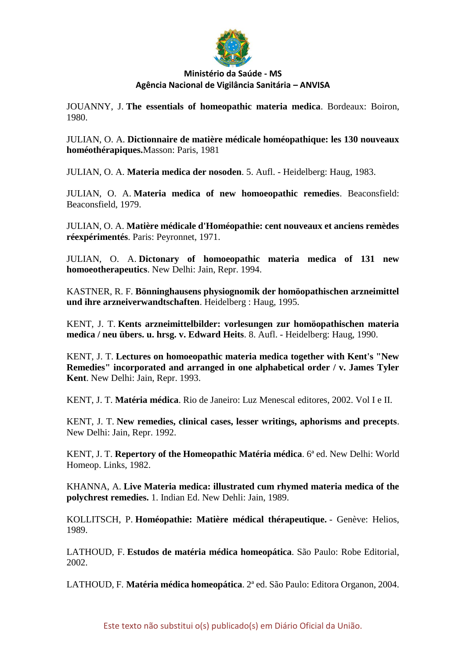

JOUANNY, J. **The essentials of homeopathic materia medica**. Bordeaux: Boiron, 1980.

JULIAN, O. A. **Dictionnaire de matière médicale homéopathique: les 130 nouveaux homéothérapiques.**Masson: Paris, 1981

JULIAN, O. A. **Materia medica der nosoden**. 5. Aufl. - Heidelberg: Haug, 1983.

JULIAN, O. A. **Materia medica of new homoeopathic remedies**. Beaconsfield: Beaconsfield, 1979.

JULIAN, O. A. **Matière médicale d'Homéopathie: cent nouveaux et anciens remèdes réexpérimentés**. Paris: Peyronnet, 1971.

JULIAN, O. A. **Dictonary of homoeopathic materia medica of 131 new homoeotherapeutics**. New Delhi: Jain, Repr. 1994.

KASTNER, R. F. **Bönninghausens physiognomik der homöopathischen arzneimittel und ihre arzneiverwandtschaften**. Heidelberg : Haug, 1995.

KENT, J. T. **Kents arzneimittelbilder: vorlesungen zur homöopathischen materia medica / neu übers. u. hrsg. v. Edward Heits**. 8. Aufl. - Heidelberg: Haug, 1990.

KENT, J. T. **Lectures on homoeopathic materia medica together with Kent's "New Remedies" incorporated and arranged in one alphabetical order / v. James Tyler Kent**. New Delhi: Jain, Repr. 1993.

KENT, J. T. **Matéria médica**. Rio de Janeiro: Luz Menescal editores, 2002. Vol I e II.

KENT, J. T. **New remedies, clinical cases, lesser writings, aphorisms and precepts**. New Delhi: Jain, Repr. 1992.

KENT, J. T. **Repertory of the Homeopathic Matéria médica**. 6ª ed. New Delhi: World Homeop. Links, 1982.

KHANNA, A. **Live Materia medica: illustrated cum rhymed materia medica of the polychrest remedies.** 1. Indian Ed. New Dehli: Jain, 1989.

KOLLITSCH, P. **Homéopathie: Matière médical thérapeutique.** - Genève: Helios, 1989.

LATHOUD, F. **Estudos de matéria médica homeopática**. São Paulo: Robe Editorial, 2002.

LATHOUD, F. **Matéria médica homeopática**. 2ª ed. São Paulo: Editora Organon, 2004.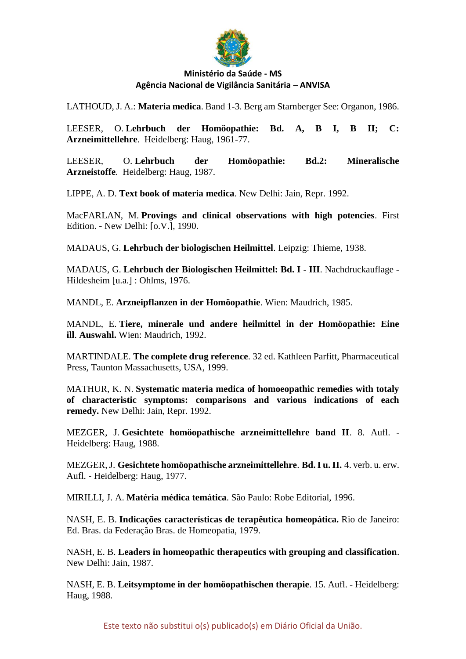

LATHOUD, J. A.: **Materia medica**. Band 1-3. Berg am Starnberger See: Organon, 1986.

LEESER, O. **Lehrbuch der Homöopathie: Bd. A, B I, B II; C: Arzneimittellehre**. Heidelberg: Haug, 1961-77.

LEESER, O. **Lehrbuch der Homöopathie: Bd.2: Mineralische Arzneistoffe**. Heidelberg: Haug, 1987.

LIPPE, A. D. **Text book of materia medica**. New Delhi: Jain, Repr. 1992.

MacFARLAN, M. **Provings and clinical observations with high potencies**. First Edition. - New Delhi: [o.V.], 1990.

MADAUS, G. **Lehrbuch der biologischen Heilmittel**. Leipzig: Thieme, 1938.

MADAUS, G. **Lehrbuch der Biologischen Heilmittel: Bd. I - III**. Nachdruckauflage - Hildesheim [u.a.] : Ohlms, 1976.

MANDL, E. **Arzneipflanzen in der Homöopathie**. Wien: Maudrich, 1985.

MANDL, E. **Tiere, minerale und andere heilmittel in der Homöopathie: Eine ill**. **Auswahl.** Wien: Maudrich, 1992.

MARTINDALE. **The complete drug reference**. 32 ed. Kathleen Parfitt, Pharmaceutical Press, Taunton Massachusetts, USA, 1999.

MATHUR, K. N. **Systematic materia medica of homoeopathic remedies with totaly of characteristic symptoms: comparisons and various indications of each remedy.** New Delhi: Jain, Repr. 1992.

MEZGER, J. **Gesichtete homöopathische arzneimittellehre band II**. 8. Aufl. - Heidelberg: Haug, 1988.

MEZGER, J. **Gesichtete homöopathische arzneimittellehre**. **Bd. I u. II.** 4. verb. u. erw. Aufl. - Heidelberg: Haug, 1977.

MIRILLI, J. A. **Matéria médica temática**. São Paulo: Robe Editorial, 1996.

NASH, E. B. **Indicações características de terapêutica homeopática.** Rio de Janeiro: Ed. Bras. da Federação Bras. de Homeopatia, 1979.

NASH, E. B. **Leaders in homeopathic therapeutics with grouping and classification**. New Delhi: Jain, 1987.

NASH, E. B. **Leitsymptome in der homöopathischen therapie**. 15. Aufl. - Heidelberg: Haug, 1988.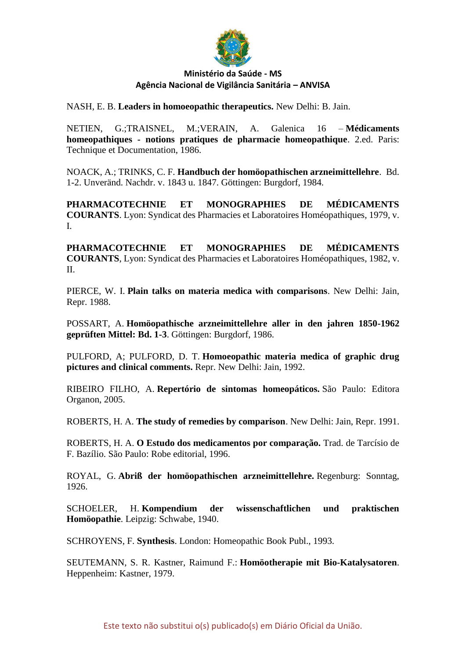

NASH, E. B. **Leaders in homoeopathic therapeutics.** New Delhi: B. Jain.

NETIEN, G.;TRAISNEL, M.;VERAIN, A. Galenica 16 – **Médicaments homeopathiques - notions pratiques de pharmacie homeopathique**. 2.ed. Paris: Technique et Documentation, 1986.

NOACK, A.; TRINKS, C. F. **Handbuch der homöopathischen arzneimittellehre**. Bd. 1-2. Unveränd. Nachdr. v. 1843 u. 1847. Göttingen: Burgdorf, 1984.

**PHARMACOTECHNIE ET MONOGRAPHIES DE MÉDICAMENTS COURANTS**. Lyon: Syndicat des Pharmacies et Laboratoires Homéopathiques, 1979, v. I.

**PHARMACOTECHNIE ET MONOGRAPHIES DE MÉDICAMENTS COURANTS**, Lyon: Syndicat des Pharmacies et Laboratoires Homéopathiques, 1982, v. II.

PIERCE, W. I. **Plain talks on materia medica with comparisons**. New Delhi: Jain, Repr. 1988.

POSSART, A. **Homöopathische arzneimittellehre aller in den jahren 1850-1962 geprüften Mittel: Bd. 1-3**. Göttingen: Burgdorf, 1986.

PULFORD, A; PULFORD, D. T. **Homoeopathic materia medica of graphic drug pictures and clinical comments.** Repr. New Delhi: Jain, 1992.

RIBEIRO FILHO, A. **Repertório de sintomas homeopáticos.** São Paulo: Editora Organon, 2005.

ROBERTS, H. A. **The study of remedies by comparison**. New Delhi: Jain, Repr. 1991.

ROBERTS, H. A. **O Estudo dos medicamentos por comparação.** Trad. de Tarcísio de F. Bazílio. São Paulo: Robe editorial, 1996.

ROYAL, G. **Abriß der homöopathischen arzneimittellehre.** Regenburg: Sonntag, 1926.

SCHOELER, H. **Kompendium der wissenschaftlichen und praktischen Homöopathie**. Leipzig: Schwabe, 1940.

SCHROYENS, F. **Synthesis**. London: Homeopathic Book Publ., 1993.

SEUTEMANN, S. R. Kastner, Raimund F.: **Homöotherapie mit Bio-Katalysatoren**. Heppenheim: Kastner, 1979.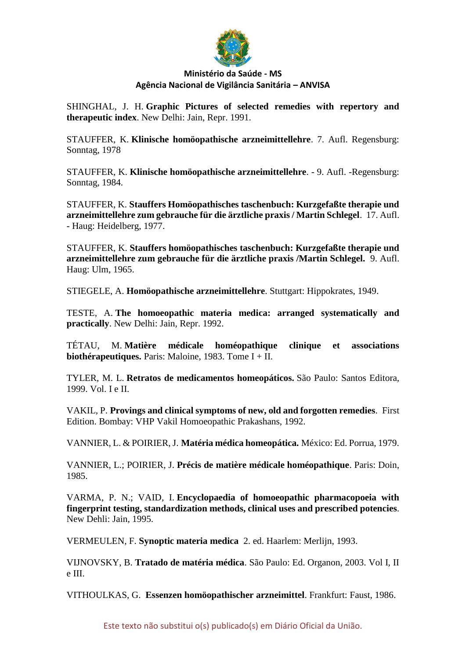

SHINGHAL, J. H. **Graphic Pictures of selected remedies with repertory and therapeutic index**. New Delhi: Jain, Repr. 1991.

STAUFFER, K. **Klinische homöopathische arzneimittellehre**. 7. Aufl. Regensburg: Sonntag, 1978

STAUFFER, K. **Klinische homöopathische arzneimittellehre**. - 9. Aufl. -Regensburg: Sonntag, 1984.

STAUFFER, K. **Stauffers Homöopathisches taschenbuch: Kurzgefaßte therapie und arzneimittellehre zum gebrauche für die ärztliche praxis / Martin Schlegel**. 17. Aufl. - Haug: Heidelberg, 1977.

STAUFFER, K. **Stauffers homöopathisches taschenbuch: Kurzgefaßte therapie und arzneimittellehre zum gebrauche für die ärztliche praxis /Martin Schlegel.** 9. Aufl. Haug: Ulm, 1965.

STIEGELE, A. **Homöopathische arzneimittellehre**. Stuttgart: Hippokrates, 1949.

TESTE, A. **The homoeopathic materia medica: arranged systematically and practically**. New Delhi: Jain, Repr. 1992.

TÉTAU, M. **Matière médicale homéopathique clinique et associations biothérapeutiques.** Paris: Maloine, 1983. Tome I + II.

TYLER, M. L. **Retratos de medicamentos homeopáticos.** São Paulo: Santos Editora, 1999. Vol. I e II.

VAKIL, P. **Provings and clinical symptoms of new, old and forgotten remedies**. First Edition. Bombay: VHP Vakil Homoeopathic Prakashans, 1992.

VANNIER, L. & POIRIER, J. **Matéria médica homeopática.** México: Ed. Porrua, 1979.

VANNIER, L.; POIRIER, J. **Précis de matière médicale homéopathique**. Paris: Doin, 1985.

VARMA, P. N.; VAID, I. **Encyclopaedia of homoeopathic pharmacopoeia with fingerprint testing, standardization methods, clinical uses and prescribed potencies**. New Dehli: Jain, 1995.

VERMEULEN, F. **Synoptic materia medica** 2. ed. Haarlem: Merlijn, 1993.

VIJNOVSKY, B. **Tratado de matéria médica**. São Paulo: Ed. Organon, 2003. Vol I, II e III.

VITHOULKAS, G. **Essenzen homöopathischer arzneimittel**. Frankfurt: Faust, 1986.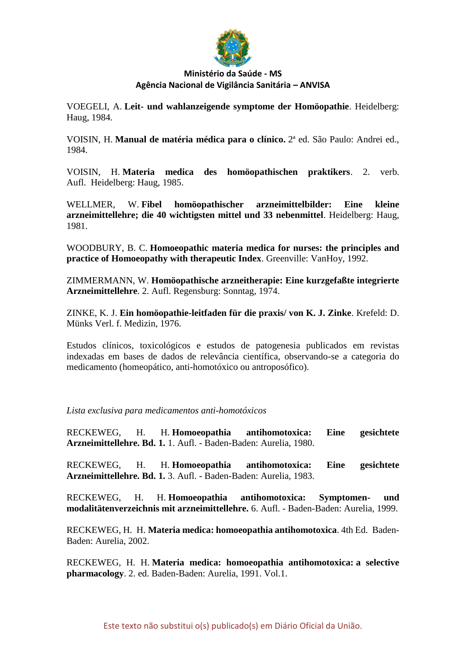

VOEGELI, A. **Leit- und wahlanzeigende symptome der Homöopathie**. Heidelberg: Haug, 1984.

VOISIN, H. **Manual de matéria médica para o clínico.** 2ª ed. São Paulo: Andrei ed., 1984.

VOISIN, H. **Materia medica des homöopathischen praktikers**. 2. verb. Aufl. Heidelberg: Haug, 1985.

WELLMER, W. **Fibel homöopathischer arzneimittelbilder: Eine kleine arzneimittellehre; die 40 wichtigsten mittel und 33 nebenmittel**. Heidelberg: Haug, 1981.

WOODBURY, B. C. **Homoeopathic materia medica for nurses: the principles and practice of Homoeopathy with therapeutic Index**. Greenville: VanHoy, 1992.

ZIMMERMANN, W. **Homöopathische arzneitherapie: Eine kurzgefaßte integrierte Arzneimittellehre**. 2. Aufl. Regensburg: Sonntag, 1974.

ZINKE, K. J. **Ein homöopathie-leitfaden für die praxis/ von K. J. Zinke**. Krefeld: D. Münks Verl. f. Medizin, 1976.

Estudos clínicos, toxicológicos e estudos de patogenesia publicados em revistas indexadas em bases de dados de relevância científica, observando-se a categoria do medicamento (homeopático, anti-homotóxico ou antroposófico).

*Lista exclusiva para medicamentos anti-homotóxicos*

RECKEWEG, H. H. **Homoeopathia antihomotoxica: Eine gesichtete Arzneimittellehre. Bd. 1.** 1. Aufl. - Baden-Baden: Aurelia, 1980.

RECKEWEG, H. H. **Homoeopathia antihomotoxica: Eine gesichtete Arzneimittellehre. Bd. 1.** 3. Aufl. - Baden-Baden: Aurelia, 1983.

RECKEWEG, H. H. **Homoeopathia antihomotoxica: Symptomen- und modalitätenverzeichnis mit arzneimittellehre.** 6. Aufl. - Baden-Baden: Aurelia, 1999.

RECKEWEG, H. H. **Materia medica: homoeopathia antihomotoxica**. 4th Ed. Baden-Baden: Aurelia, 2002.

RECKEWEG, H. H. **Materia medica: homoeopathia antihomotoxica: a selective pharmacology**. 2. ed. Baden-Baden: Aurelia, 1991. Vol.1.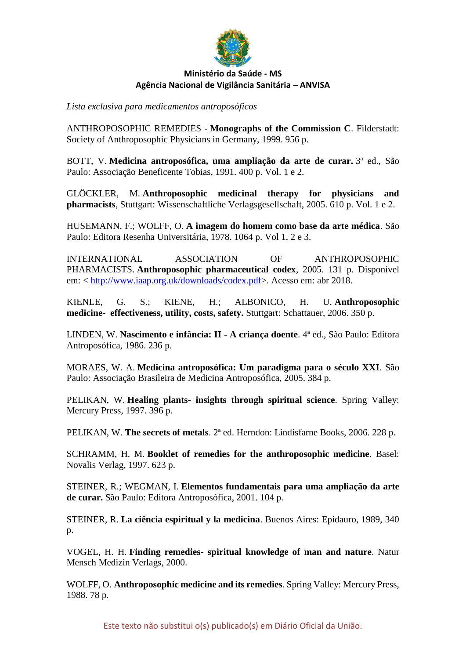

*Lista exclusiva para medicamentos antroposóficos*

ANTHROPOSOPHIC REMEDIES - **Monographs of the Commission C**. Filderstadt: Society of Anthroposophic Physicians in Germany, 1999. 956 p.

BOTT, V. **Medicina antroposófica, uma ampliação da arte de curar.** 3ª ed., São Paulo: Associação Beneficente Tobias, 1991. 400 p. Vol. 1 e 2.

GLÖCKLER, M. **Anthroposophic medicinal therapy for physicians and pharmacists**, Stuttgart: Wissenschaftliche Verlagsgesellschaft, 2005. 610 p. Vol. 1 e 2.

HUSEMANN, F.; WOLFF, O. **A imagem do homem como base da arte médica**. São Paulo: Editora Resenha Universitária, 1978. 1064 p. Vol 1, 2 e 3.

INTERNATIONAL ASSOCIATION OF ANTHROPOSOPHIC PHARMACISTS. **Anthroposophic pharmaceutical codex**, 2005. 131 p. Disponível em: < [http://www.iaap.org.uk/downloads/codex.pdf>](http://www.iaap.org.uk/downloads/codex.pdf). Acesso em: abr 2018.

KIENLE, G. S.; KIENE, H.; ALBONICO, H. U. **Anthroposophic medicine- effectiveness, utility, costs, safety.** Stuttgart: Schattauer, 2006. 350 p.

LINDEN, W. **Nascimento e infância: II - A criança doente**. 4ª ed., São Paulo: Editora Antroposófica, 1986. 236 p.

MORAES, W. A. **Medicina antroposófica: Um paradigma para o século XXI**. São Paulo: Associação Brasileira de Medicina Antroposófica, 2005. 384 p.

PELIKAN, W. **Healing plants- insights through spiritual science**. Spring Valley: Mercury Press, 1997. 396 p.

PELIKAN, W. **The secrets of metals**. 2ª ed. Herndon: Lindisfarne Books, 2006. 228 p.

SCHRAMM, H. M. **Booklet of remedies for the anthroposophic medicine**. Basel: Novalis Verlag, 1997. 623 p.

STEINER, R.; WEGMAN, I. **Elementos fundamentais para uma ampliação da arte de curar.** São Paulo: Editora Antroposófica, 2001. 104 p.

STEINER, R. **La ciência espiritual y la medicina**. Buenos Aires: Epidauro, 1989, 340 p.

VOGEL, H. H. **Finding remedies- spiritual knowledge of man and nature**. Natur Mensch Medizin Verlags, 2000.

WOLFF, O. **Anthroposophic medicine and its remedies**. Spring Valley: Mercury Press, 1988. 78 p.